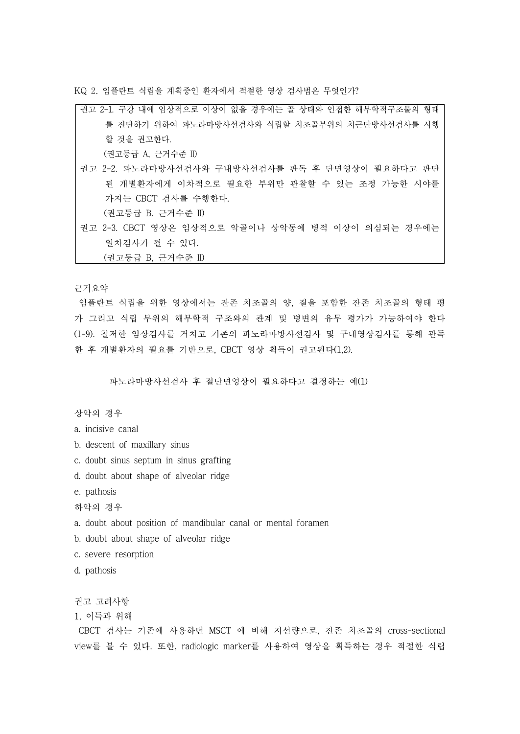KQ 2. 임플란트 식립을 계획중인 환자에서 적절한 영상 검사법은 무엇인가?

| 권고 2-1. 구강 내에 임상적으로 이상이 없을 경우에는 골 상태와 인접한 해부학적구조물의 형태 |
|-------------------------------------------------------|
| 를 진단하기 위하여 파노라마방사선검사와 식립할 치조골부위의 치근단방사선검사를 시행         |
| 할 것을 권고한다.                                            |
| (권고등급 A, 근거수준 II)                                     |
| 권고 2-2. 파노라마방사선검사와 구내방사선검사를 판독 후 단면영상이 필요하다고 판단       |
| 된 개별환자에게 이차적으로 필요한 부위만 관찰할 수 있는 조정 가능한 시야를            |
| 가지는 CBCT 검사를 수행한다.                                    |
| (권고등급 B. 근거수준 II)                                     |
| 권고 2-3. CBCT 영상은 임상적으로 악골이나 상악동에 병적 이상이 의심되는 경우에는     |
| 일차검사가 될 수 있다.                                         |

(권고등급 B, 근거수준 II)

근거요약

임플란트 식립을 위한 영상에서는 잔존 치조골의 양, 질을 포함한 잔존 치조골의 형태 평 가 그리고 식립 부위의 해부학적 구조와의 관계 및 병변의 유무 평가가 가능하여야 한다 (1-9). 철저한 임상검사를 거치고 기존의 파노라마방사선검사 및 구내영상검사를 통해 판독 한 후 개별환자의 필요를 기반으로, CBCT 영상 획득이 권고된다(1,2).

파노라마방사선검사 후 절단면영상이 필요하다고 결정하는 예(1)

상악의 경우

a. incisive canal

b. descent of maxillary sinus

- c. doubt sinus septum in sinus grafting
- d. doubt about shape of alveolar ridge

e. pathosis

하악의 경우

- a. doubt about position of mandibular canal or mental foramen
- b. doubt about shape of alveolar ridge
- c. severe resorption
- d. pathosis

권고 고려사항

1. 이득과 위해

CBCT 검사는 기존에 사용하던 MSCT 에 비해 저선량으로, 잔존 치조골의 cross-sectional view를 볼 수 있다. 또한, radiologic marker를 사용하여 영상을 획득하는 경우 적절한 식립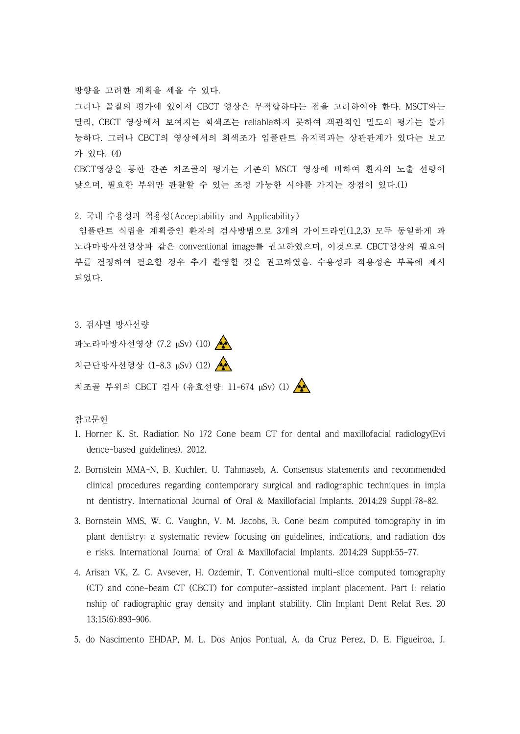방향을 고려한 계획을 세울 수 있다.<br>그러나 골질의 평가에 있어서 CBCT 영상은 부적합하다는 점을 고려하여야 한다. MSCT와는 달리, CBCT 영상에서 보여지는 회색조는 reliable하지 못하여 객관적인 밀도의 평가는 불가 능하다. 그러나 CBCT의 영상에서의 회색조가 임플란트 유지력과는 상관관계가 있다는 보고 가 있다. (4)

CBCT영상을 통한 잔존 치조골의 평가는 기존의 MSCT 영상에 비하여 환자의 노출 선량이 낮으며, 필요한 부위만 관찰할 수 있는 조정 가능한 시야를 가지는 장점이 있다.(1)

2. 국내 수용성과 적용성(Acceptability and Applicability)

임플란트 식립을 계획중인 환자의 검사방법으로 3개의 가이드라인(1,2,3) 모두 동일하게 파 노라마방사선영상과 같은 conventional image를 권고하였으며, 이것으로 CBCT영상의 필요여 부를 결정하여 필요할 경우 추가 촬영할 것을 권고하였음. 수용성과 적용성은 부록에 제시 되었다.

3. 검사별 방사선량 파노라마방사선영상 (7.2 µSv) (10) 치근단방사선영상 (1-8.3 µSv) (12) < 치조골 부위의 CBCT 검사 (유효선량: 11-674 μSv) (1) <

참고문헌

- 1. Horner K. St. Radiation No 172 Cone beam CT for dental and maxillofacial radiology(Evi dence-based guidelines). 2012.
- 2. Bornstein MMA-N, B. Kuchler, U. Tahmaseb, A. Consensus statements and recommended clinical procedures regarding contemporary surgical and radiographic techniques in impla nt dentistry. International Journal of Oral & Maxillofacial Implants. 2014;29 Suppl:78-82.
- 3. Bornstein MMS, W. C. Vaughn, V. M. Jacobs, R. Cone beam computed tomography in im plant dentistry: a systematic review focusing on guidelines, indications, and radiation dos e risks. International Journal of Oral & Maxillofacial Implants. 2014;29 Suppl:55-77.
- 4. Arisan VK, Z. C. Avsever, H. Ozdemir, T. Conventional multi-slice computed tomography (CT) and cone-beam CT (CBCT) for computer-assisted implant placement. Part I: relatio nship of radiographic gray density and implant stability. Clin Implant Dent Relat Res. 20 13;15(6):893-906.
- 5. do Nascimento EHDAP, M. L. Dos Anjos Pontual, A. da Cruz Perez, D. E. Figueiroa, J.